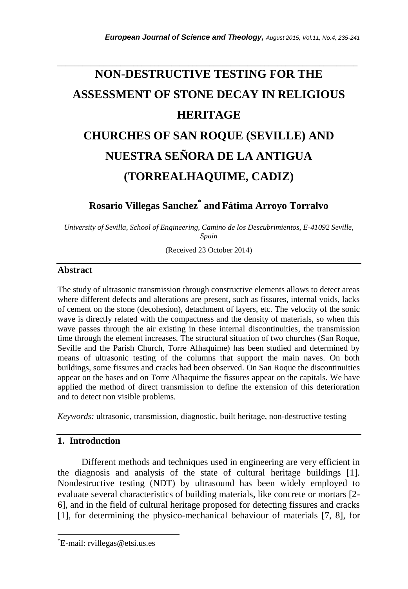# **NON-DESTRUCTIVE TESTING FOR THE ASSESSMENT OF STONE DECAY IN RELIGIOUS HERITAGE CHURCHES OF SAN ROQUE (SEVILLE) AND NUESTRA SEÑORA DE LA ANTIGUA (TORREALHAQUIME, CADIZ)**

*\_\_\_\_\_\_\_\_\_\_\_\_\_\_\_\_\_\_\_\_\_\_\_\_\_\_\_\_\_\_\_\_\_\_\_\_\_\_\_\_\_\_\_\_\_\_\_\_\_\_\_\_\_\_\_\_\_\_\_\_\_\_\_\_\_\_\_\_\_\_\_*

# **Rosario Villegas Sanchez\* and Fátima Arroyo Torralvo**

*University of Sevilla, School of Engineering, Camino de los Descubrimientos, E-41092 Seville, Spain*

(Received 23 October 2014)

## **Abstract**

The study of ultrasonic transmission through constructive elements allows to detect areas where different defects and alterations are present, such as fissures, internal voids, lacks of cement on the stone (decohesion), detachment of layers, etc. The velocity of the sonic wave is directly related with the compactness and the density of materials, so when this wave passes through the air existing in these internal discontinuities, the transmission time through the element increases. The structural situation of two churches (San Roque, Seville and the Parish Church, Torre Alhaquime) has been studied and determined by means of ultrasonic testing of the columns that support the main naves. On both buildings, some fissures and cracks had been observed. On San Roque the discontinuities appear on the bases and on Torre Alhaquime the fissures appear on the capitals. We have applied the method of direct transmission to define the extension of this deterioration and to detect non visible problems.

*Keywords:* ultrasonic, transmission, diagnostic, built heritage, non-destructive testing

### **1. Introduction**

l

Different methods and techniques used in engineering are very efficient in the diagnosis and analysis of the state of cultural heritage buildings [1]. Nondestructive testing (NDT) by ultrasound has been widely employed to evaluate several characteristics of building materials, like concrete or mortars [2- 6], and in the field of cultural heritage proposed for detecting fissures and cracks [1], for determining the physico-mechanical behaviour of materials [7, 8], for

<sup>\*</sup>E-mail: rvillegas@etsi.us.es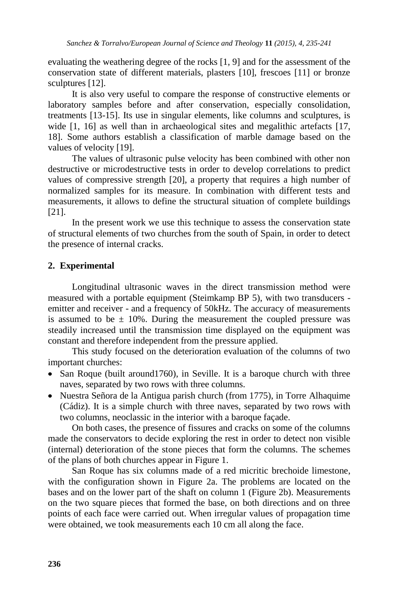evaluating the weathering degree of the rocks [1, 9] and for the assessment of the conservation state of different materials, plasters [10], frescoes [11] or bronze sculptures [12].

It is also very useful to compare the response of constructive elements or laboratory samples before and after conservation, especially consolidation, treatments [13-15]. Its use in singular elements, like columns and sculptures, is wide [1, 16] as well than in archaeological sites and megalithic artefacts [17, 18]. Some authors establish a classification of marble damage based on the values of velocity [19].

The values of ultrasonic pulse velocity has been combined with other non destructive or microdestructive tests in order to develop correlations to predict values of compressive strength [20], a property that requires a high number of normalized samples for its measure. In combination with different tests and measurements, it allows to define the structural situation of complete buildings [21].

In the present work we use this technique to assess the conservation state of structural elements of two churches from the south of Spain, in order to detect the presence of internal cracks.

#### **2. Experimental**

Longitudinal ultrasonic waves in the direct transmission method were measured with a portable equipment (Steimkamp BP 5), with two transducers emitter and receiver - and a frequency of 50kHz. The accuracy of measurements is assumed to be  $\pm$  10%. During the measurement the coupled pressure was steadily increased until the transmission time displayed on the equipment was constant and therefore independent from the pressure applied.

This study focused on the deterioration evaluation of the columns of two important churches:

- San Roque (built around 1760), in Seville. It is a baroque church with three naves, separated by two rows with three columns.
- Nuestra Señora de la Antigua parish church (from 1775), in Torre Alhaquime (Cádiz). It is a simple church with three naves, separated by two rows with two columns, neoclassic in the interior with a baroque façade.

On both cases, the presence of fissures and cracks on some of the columns made the conservators to decide exploring the rest in order to detect non visible (internal) deterioration of the stone pieces that form the columns. The schemes of the plans of both churches appear in Figure 1.

San Roque has six columns made of a red micritic brechoide limestone, with the configuration shown in Figure 2a. The problems are located on the bases and on the lower part of the shaft on column 1 (Figure 2b). Measurements on the two square pieces that formed the base, on both directions and on three points of each face were carried out. When irregular values of propagation time were obtained, we took measurements each 10 cm all along the face.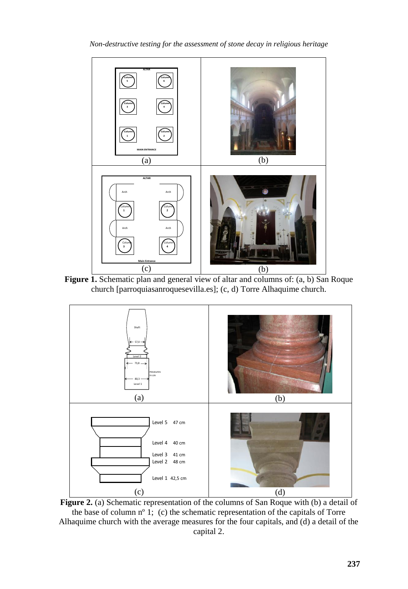

*Non-destructive testing for the assessment of stone decay in religious heritage*





**Figure 2.** (a) Schematic representation of the columns of San Roque with (b) a detail of the base of column nº 1; (c) the schematic representation of the capitals of Torre Alhaquime church with the average measures for the four capitals, and (d) a detail of the capital 2.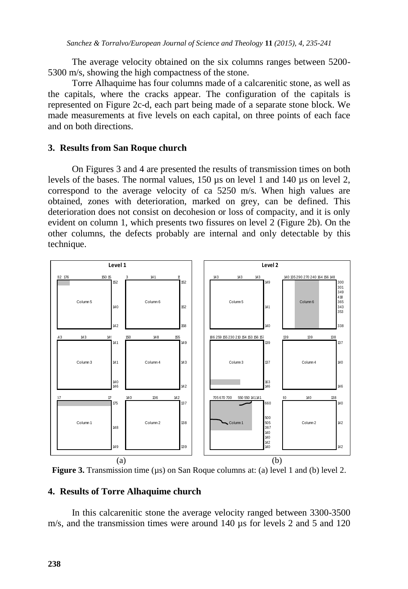The average velocity obtained on the six columns ranges between 5200- 5300 m/s, showing the high compactness of the stone.

Torre Alhaquime has four columns made of a calcarenitic stone, as well as the capitals, where the cracks appear. The configuration of the capitals is represented on Figure 2c-d, each part being made of a separate stone block. We made measurements at five levels on each capital, on three points of each face and on both directions.

#### **3. Results from San Roque church**

On Figures 3 and 4 are presented the results of transmission times on both levels of the bases. The normal values, 150 µs on level 1 and 140 µs on level 2, correspond to the average velocity of ca 5250 m/s. When high values are obtained, zones with deterioration, marked on grey, can be defined. This deterioration does not consist on decohesion or loss of compacity, and it is only evident on column 1, which presents two fissures on level 2 (Figure 2b). On the other columns, the defects probably are internal and only detectable by this technique.



**Figure 3.** Transmission time ( $\mu$ s) on San Roque columns at: (a) level 1 and (b) level 2.

#### **4. Results of Torre Alhaquime church**

In this calcarenitic stone the average velocity ranged between 3300-3500 m/s, and the transmission times were around 140  $\mu$ s for levels 2 and 5 and 120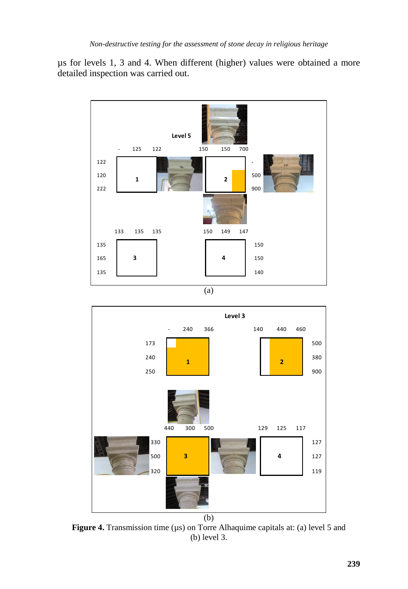µs for levels 1, 3 and 4. When different (higher) values were obtained a more detailed inspection was carried out.



(a)



**Figure 4.** Transmission time ( $\mu$ s) on Torre Alhaquime capitals at: (a) level 5 and (b) level 3.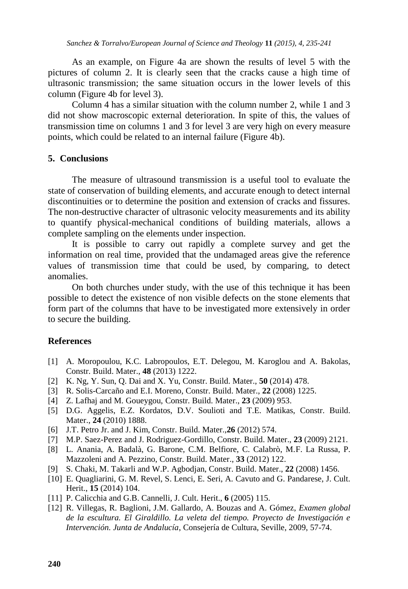As an example, on Figure 4a are shown the results of level 5 with the pictures of column 2. It is clearly seen that the cracks cause a high time of ultrasonic transmission; the same situation occurs in the lower levels of this column (Figure 4b for level 3).

Column 4 has a similar situation with the column number 2, while 1 and 3 did not show macroscopic external deterioration. In spite of this, the values of transmission time on columns 1 and 3 for level 3 are very high on every measure points, which could be related to an internal failure (Figure 4b).

#### **5. Conclusions**

The measure of ultrasound transmission is a useful tool to evaluate the state of conservation of building elements, and accurate enough to detect internal discontinuities or to determine the position and extension of cracks and fissures. The non-destructive character of ultrasonic velocity measurements and its ability to quantify physical-mechanical conditions of building materials, allows a complete sampling on the elements under inspection.

It is possible to carry out rapidly a complete survey and get the information on real time, provided that the undamaged areas give the reference values of transmission time that could be used, by comparing, to detect anomalies.

On both churches under study, with the use of this technique it has been possible to detect the existence of non visible defects on the stone elements that form part of the columns that have to be investigated more extensively in order to secure the building.

#### **References**

- [1] A. Moropoulou, K.C. Labropoulos, E.T. Delegou, M. Karoglou and A. Bakolas, Constr. Build. Mater., **48** (2013) 1222.
- [2] K. Ng, Y. Sun, Q. Dai and X. Yu, Constr. Build. Mater., **50** (2014) 478.
- [3] R. Solis-Carcaño and E.I. Moreno, Constr. Build. Mater., **22** (2008) 1225.
- [4] Z. Lafhaj and M. Goueygou, Constr. Build. Mater., **23** (2009) 953.
- [5] D.G. Aggelis, E.Z. Kordatos, D.V. Soulioti and T.E. Matikas, Constr. Build. Mater., **24** (2010) 1888.
- [6] J.T. Petro Jr. and J. Kim, Constr. Build. Mater.,**26** (2012) 574.
- [7] M.P. Saez-Perez and J. Rodriguez-Gordillo, Constr. Build. Mater., **23** (2009) 2121.
- [8] L. Anania, A. Badalà, G. Barone, C.M. Belfiore, C. Calabrò, M.F. La Russa, P. Mazzoleni and A. Pezzino, Constr. Build. Mater., **33** (2012) 122.
- [9] S. Chaki, M. Takarli and W.P. Agbodjan, Constr. Build. Mater., **22** (2008) 1456.
- [10] E. Quagliarini, G. M. Revel, S. Lenci, E. Seri, A. Cavuto and G. Pandarese, J. Cult. Herit., **15** (2014) 104.
- [11] P. Calicchia and G.B. Cannelli, J. Cult. Herit., **6** (2005) 115.
- [12] R. Villegas, R. Baglioni, J.M. Gallardo, A. Bouzas and A. Gómez, *Examen global de la escultura. El Giraldillo. La veleta del tiempo. Proyecto de Investigación e Intervención. Junta de Andalucía*, Consejería de Cultura, Seville, 2009, 57-74.